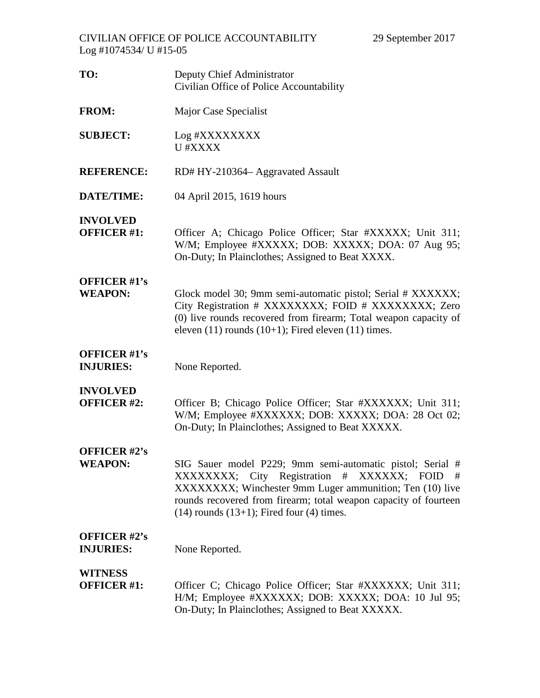| TO:                                     | Deputy Chief Administrator<br>Civilian Office of Police Accountability                                                                                                                                                                                                                              |
|-----------------------------------------|-----------------------------------------------------------------------------------------------------------------------------------------------------------------------------------------------------------------------------------------------------------------------------------------------------|
| <b>FROM:</b>                            | Major Case Specialist                                                                                                                                                                                                                                                                               |
| <b>SUBJECT:</b>                         | Log #XXXXXXXX<br>U #XXXX                                                                                                                                                                                                                                                                            |
| <b>REFERENCE:</b>                       | RD# HY-210364 - Aggravated Assault                                                                                                                                                                                                                                                                  |
| DATE/TIME:                              | 04 April 2015, 1619 hours                                                                                                                                                                                                                                                                           |
| <b>INVOLVED</b><br><b>OFFICER #1:</b>   | Officer A; Chicago Police Officer; Star #XXXXX; Unit 311;<br>W/M; Employee #XXXXX; DOB: XXXXX; DOA: 07 Aug 95;<br>On-Duty; In Plainclothes; Assigned to Beat XXXX.                                                                                                                                  |
| <b>OFFICER #1's</b><br><b>WEAPON:</b>   | Glock model 30; 9mm semi-automatic pistol; Serial # XXXXXX;<br>City Registration # XXXXXXXX; FOID # XXXXXXXX; Zero<br>(0) live rounds recovered from firearm; Total weapon capacity of<br>eleven $(11)$ rounds $(10+1)$ ; Fired eleven $(11)$ times.                                                |
| <b>OFFICER #1's</b><br><b>INJURIES:</b> | None Reported.                                                                                                                                                                                                                                                                                      |
| <b>INVOLVED</b><br><b>OFFICER #2:</b>   | Officer B; Chicago Police Officer; Star #XXXXXX; Unit 311;<br>W/M; Employee #XXXXXX; DOB: XXXXX; DOA: 28 Oct 02;<br>On-Duty; In Plainclothes; Assigned to Beat XXXXX.                                                                                                                               |
| <b>OFFICER #2's</b><br><b>WEAPON:</b>   | SIG Sauer model P229; 9mm semi-automatic pistol; Serial #<br>XXXXXXXXX; City Registration # XXXXXX; FOID<br>- #<br>XXXXXXXX; Winchester 9mm Luger ammunition; Ten (10) live<br>rounds recovered from firearm; total weapon capacity of fourteen<br>$(14)$ rounds $(13+1)$ ; Fired four $(4)$ times. |
| <b>OFFICER #2's</b><br><b>INJURIES:</b> | None Reported.                                                                                                                                                                                                                                                                                      |
| <b>WITNESS</b><br><b>OFFICER #1:</b>    | Officer C; Chicago Police Officer; Star #XXXXXX; Unit 311;<br>H/M; Employee #XXXXXX; DOB: XXXXX; DOA: 10 Jul 95;<br>On-Duty; In Plainclothes; Assigned to Beat XXXXX.                                                                                                                               |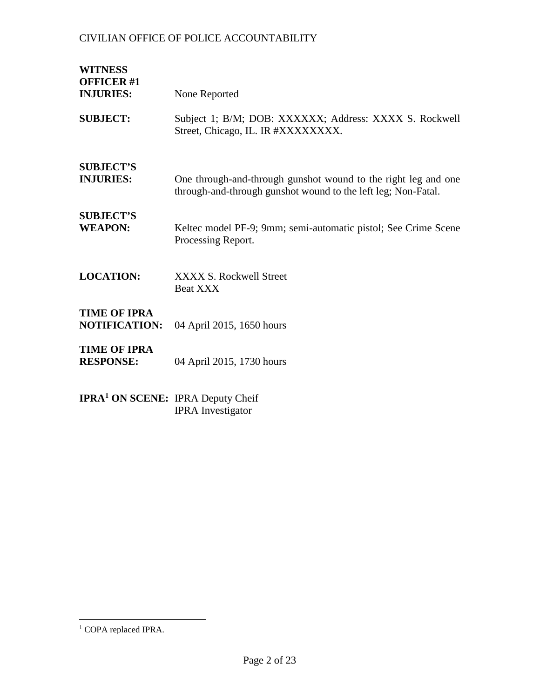IPRA Investigator

| <b>WITNESS</b><br><b>OFFICER #1</b><br><b>INJURIES:</b> | None Reported                                                                                                                   |
|---------------------------------------------------------|---------------------------------------------------------------------------------------------------------------------------------|
| <b>SUBJECT:</b>                                         | Subject 1; B/M; DOB: XXXXXX; Address: XXXX S. Rockwell<br>Street, Chicago, IL. IR #XXXXXXXX.                                    |
| <b>SUBJECT'S</b><br><b>INJURIES:</b>                    | One through-and-through gunshot wound to the right leg and one<br>through-and-through gunshot wound to the left leg; Non-Fatal. |
| <b>SUBJECT'S</b><br><b>WEAPON:</b>                      | Keltec model PF-9; 9mm; semi-automatic pistol; See Crime Scene<br>Processing Report.                                            |
| <b>LOCATION:</b>                                        | <b>XXXX S. Rockwell Street</b><br>Beat XXX                                                                                      |
| <b>TIME OF IPRA</b><br><b>NOTIFICATION:</b>             | 04 April 2015, 1650 hours                                                                                                       |
| <b>TIME OF IPRA</b><br><b>RESPONSE:</b>                 | 04 April 2015, 1730 hours                                                                                                       |
| <b>IPRA<sup>1</sup> ON SCENE:</b> IPRA Deputy Cheif     |                                                                                                                                 |

<span id="page-1-0"></span> $1$  COPA replaced IPRA.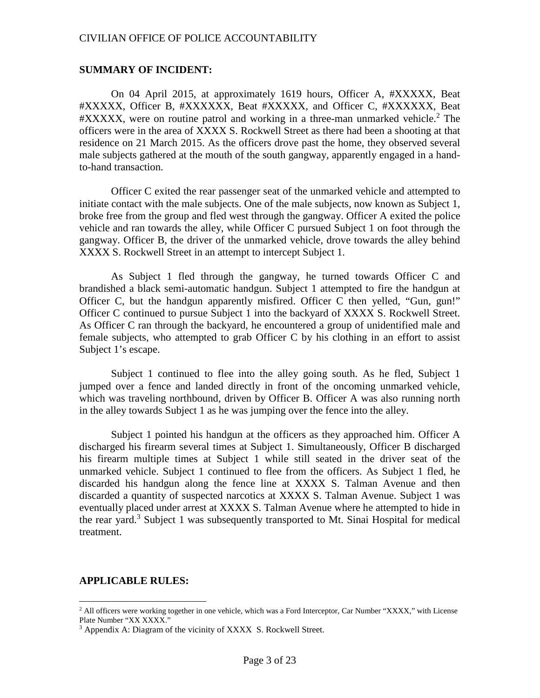#### **SUMMARY OF INCIDENT:**

On 04 April 2015, at approximately 1619 hours, Officer A, #XXXXX, Beat #XXXXX, Officer B, #XXXXXX, Beat #XXXXX, and Officer C, #XXXXXX, Beat  $\#XXXXX$ , were on routine patrol and working in a three-man unmarked vehicle.<sup>[2](#page-2-0)</sup> The officers were in the area of XXXX S. Rockwell Street as there had been a shooting at that residence on 21 March 2015. As the officers drove past the home, they observed several male subjects gathered at the mouth of the south gangway, apparently engaged in a handto-hand transaction.

Officer C exited the rear passenger seat of the unmarked vehicle and attempted to initiate contact with the male subjects. One of the male subjects, now known as Subject 1, broke free from the group and fled west through the gangway. Officer A exited the police vehicle and ran towards the alley, while Officer C pursued Subject 1 on foot through the gangway. Officer B, the driver of the unmarked vehicle, drove towards the alley behind XXXX S. Rockwell Street in an attempt to intercept Subject 1.

As Subject 1 fled through the gangway, he turned towards Officer C and brandished a black semi-automatic handgun. Subject 1 attempted to fire the handgun at Officer C, but the handgun apparently misfired. Officer C then yelled, "Gun, gun!" Officer C continued to pursue Subject 1 into the backyard of XXXX S. Rockwell Street. As Officer C ran through the backyard, he encountered a group of unidentified male and female subjects, who attempted to grab Officer C by his clothing in an effort to assist Subject 1's escape.

Subject 1 continued to flee into the alley going south. As he fled, Subject 1 jumped over a fence and landed directly in front of the oncoming unmarked vehicle, which was traveling northbound, driven by Officer B. Officer A was also running north in the alley towards Subject 1 as he was jumping over the fence into the alley.

Subject 1 pointed his handgun at the officers as they approached him. Officer A discharged his firearm several times at Subject 1. Simultaneously, Officer B discharged his firearm multiple times at Subject 1 while still seated in the driver seat of the unmarked vehicle. Subject 1 continued to flee from the officers. As Subject 1 fled, he discarded his handgun along the fence line at XXXX S. Talman Avenue and then discarded a quantity of suspected narcotics at XXXX S. Talman Avenue. Subject 1 was eventually placed under arrest at XXXX S. Talman Avenue where he attempted to hide in therear yard[.](#page-2-1)<sup>3</sup> Subject 1 was subsequently transported to Mt. Sinai Hospital for medical treatment.

#### **APPLICABLE RULES:**

<span id="page-2-0"></span><sup>&</sup>lt;sup>2</sup> All officers were working together in one vehicle, which was a Ford Interceptor, Car Number "XXXX," with License Plate Number "XX XXXX."

<span id="page-2-1"></span><sup>&</sup>lt;sup>3</sup> Appendix A: Diagram of the vicinity of XXXX S. Rockwell Street.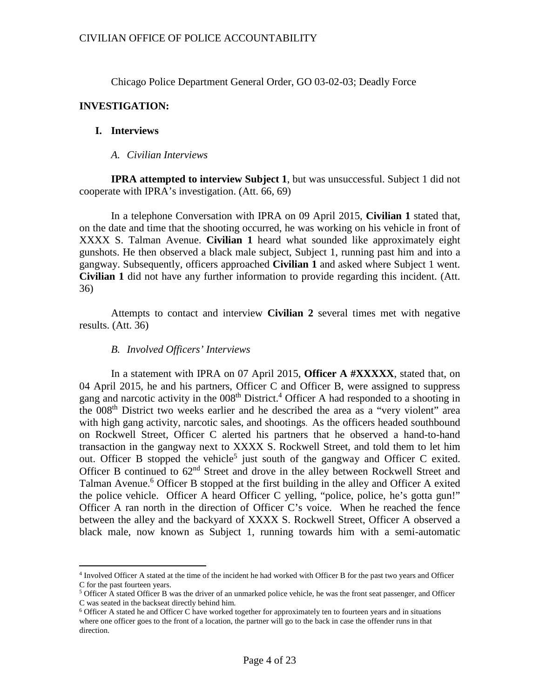Chicago Police Department General Order, GO 03-02-03; Deadly Force

# **INVESTIGATION:**

# **I. Interviews**

*A. Civilian Interviews*

**IPRA attempted to interview Subject 1**, but was unsuccessful. Subject 1 did not cooperate with IPRA's investigation. (Att. 66, 69)

In a telephone Conversation with IPRA on 09 April 2015, **Civilian 1** stated that, on the date and time that the shooting occurred, he was working on his vehicle in front of XXXX S. Talman Avenue. **Civilian 1** heard what sounded like approximately eight gunshots. He then observed a black male subject, Subject 1, running past him and into a gangway. Subsequently, officers approached **Civilian 1** and asked where Subject 1 went. **Civilian 1** did not have any further information to provide regarding this incident. (Att. 36)

Attempts to contact and interview **Civilian 2** several times met with negative results. (Att. 36)

## *B. Involved Officers' Interviews*

In a statement with IPRA on 07 April 2015, **Officer A #XXXXX**, stated that, on 04 April 2015, he and his partners, Officer C and Officer B, were assigned to suppress gang and narcotic activity in the 008<sup>th</sup> District.<sup>[4](#page-3-0)</sup> Officer A had responded to a shooting in the 008<sup>th</sup> District two weeks earlier and he described the area as a "very violent" area with high gang activity, narcotic sales, and shootings. As the officers headed southbound on Rockwell Street, Officer C alerted his partners that he observed a hand-to-hand transaction in the gangway next to XXXX S. Rockwell Street, and told them to let him out. Officer B stopped the vehicle<sup>[5](#page-3-1)</sup> just south of the gangway and Officer C exited. Officer B continued to  $62<sup>nd</sup>$  Street and drove in the alley between Rockwell Street and Talman Avenue.<sup>[6](#page-3-2)</sup> Officer B stopped at the first building in the alley and Officer A exited the police vehicle. Officer A heard Officer C yelling, "police, police, he's gotta gun!" Officer A ran north in the direction of Officer C's voice. When he reached the fence between the alley and the backyard of XXXX S. Rockwell Street, Officer A observed a black male, now known as Subject 1, running towards him with a semi-automatic

<span id="page-3-0"></span><sup>4</sup> Involved Officer A stated at the time of the incident he had worked with Officer B for the past two years and Officer C for the past fourteen years.

<span id="page-3-1"></span><sup>5</sup> Officer A stated Officer B was the driver of an unmarked police vehicle, he was the front seat passenger, and Officer C was seated in the backseat directly behind him.

<span id="page-3-2"></span><sup>6</sup> Officer A stated he and Officer C have worked together for approximately ten to fourteen years and in situations where one officer goes to the front of a location, the partner will go to the back in case the offender runs in that direction.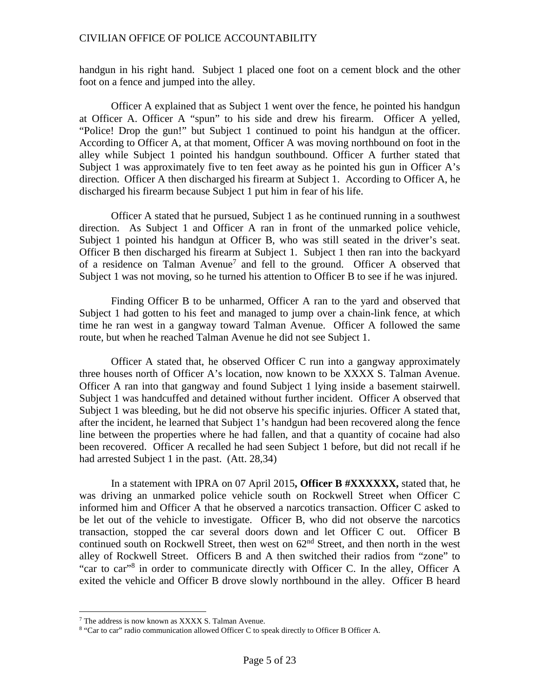handgun in his right hand. Subject 1 placed one foot on a cement block and the other foot on a fence and jumped into the alley.

Officer A explained that as Subject 1 went over the fence, he pointed his handgun at Officer A. Officer A "spun" to his side and drew his firearm. Officer A yelled, "Police! Drop the gun!" but Subject 1 continued to point his handgun at the officer. According to Officer A, at that moment, Officer A was moving northbound on foot in the alley while Subject 1 pointed his handgun southbound. Officer A further stated that Subject 1 was approximately five to ten feet away as he pointed his gun in Officer A's direction. Officer A then discharged his firearm at Subject 1. According to Officer A, he discharged his firearm because Subject 1 put him in fear of his life.

Officer A stated that he pursued, Subject 1 as he continued running in a southwest direction. As Subject 1 and Officer A ran in front of the unmarked police vehicle, Subject 1 pointed his handgun at Officer B, who was still seated in the driver's seat. Officer B then discharged his firearm at Subject 1. Subject 1 then ran into the backyard of a residence on Talman Avenue<sup>[7](#page-4-0)</sup> and fell to the ground. Officer A observed that Subject 1 was not moving, so he turned his attention to Officer B to see if he was injured.

Finding Officer B to be unharmed, Officer A ran to the yard and observed that Subject 1 had gotten to his feet and managed to jump over a chain-link fence, at which time he ran west in a gangway toward Talman Avenue. Officer A followed the same route, but when he reached Talman Avenue he did not see Subject 1.

Officer A stated that, he observed Officer C run into a gangway approximately three houses north of Officer A's location, now known to be XXXX S. Talman Avenue. Officer A ran into that gangway and found Subject 1 lying inside a basement stairwell. Subject 1 was handcuffed and detained without further incident. Officer A observed that Subject 1 was bleeding, but he did not observe his specific injuries. Officer A stated that, after the incident, he learned that Subject 1's handgun had been recovered along the fence line between the properties where he had fallen, and that a quantity of cocaine had also been recovered. Officer A recalled he had seen Subject 1 before, but did not recall if he had arrested Subject 1 in the past. (Att. 28,34)

In a statement with IPRA on 07 April 2015**, Officer B #XXXXXX,** stated that, he was driving an unmarked police vehicle south on Rockwell Street when Officer C informed him and Officer A that he observed a narcotics transaction. Officer C asked to be let out of the vehicle to investigate. Officer B, who did not observe the narcotics transaction, stopped the car several doors down and let Officer C out. Officer B continued south on Rockwell Street, then west on  $62<sup>nd</sup>$  Street, and then north in the west alley of Rockwell Street. Officers B and A then switched their radios from "zone" to "car tocar["](#page-4-1)<sup>8</sup> in order to communicate directly with Officer C. In the alley, Officer A exited the vehicle and Officer B drove slowly northbound in the alley. Officer B heard

<span id="page-4-1"></span><span id="page-4-0"></span><sup>7</sup> The address is now known as XXXX S. Talman Avenue.

<sup>8</sup> "Car to car" radio communication allowed Officer C to speak directly to Officer B Officer A.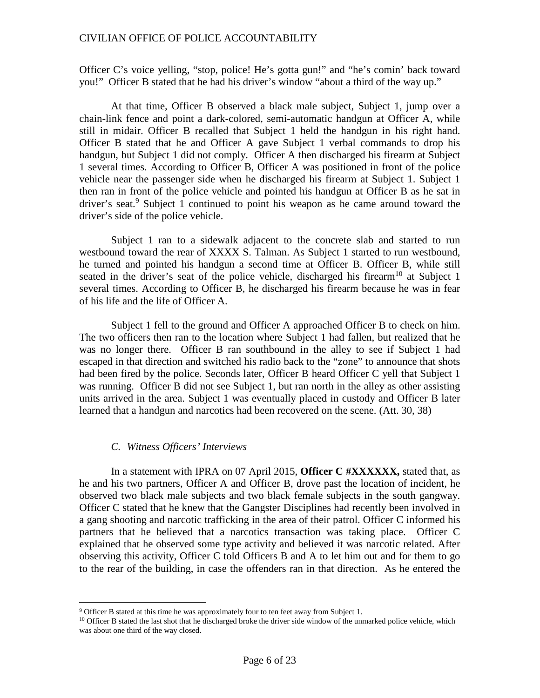Officer C's voice yelling, "stop, police! He's gotta gun!" and "he's comin' back toward you!" Officer B stated that he had his driver's window "about a third of the way up."

At that time, Officer B observed a black male subject, Subject 1, jump over a chain-link fence and point a dark-colored, semi-automatic handgun at Officer A, while still in midair. Officer B recalled that Subject 1 held the handgun in his right hand. Officer B stated that he and Officer A gave Subject 1 verbal commands to drop his handgun, but Subject 1 did not comply. Officer A then discharged his firearm at Subject 1 several times. According to Officer B, Officer A was positioned in front of the police vehicle near the passenger side when he discharged his firearm at Subject 1. Subject 1 then ran in front of the police vehicle and pointed his handgun at Officer B as he sat in driver'sseat.<sup>9</sup> Subject 1 continued to point his weapon as he came around toward the driver's side of the police vehicle.

Subject 1 ran to a sidewalk adjacent to the concrete slab and started to run westbound toward the rear of XXXX S. Talman. As Subject 1 started to run westbound, he turned and pointed his handgun a second time at Officer B. Officer B, while still seated in the driver's seat of the police vehicle, discharged his firearm<sup>[10](#page-5-1)</sup> at Subject 1 several times. According to Officer B, he discharged his firearm because he was in fear of his life and the life of Officer A.

Subject 1 fell to the ground and Officer A approached Officer B to check on him. The two officers then ran to the location where Subject 1 had fallen, but realized that he was no longer there. Officer B ran southbound in the alley to see if Subject 1 had escaped in that direction and switched his radio back to the "zone" to announce that shots had been fired by the police. Seconds later, Officer B heard Officer C yell that Subject 1 was running. Officer B did not see Subject 1, but ran north in the alley as other assisting units arrived in the area. Subject 1 was eventually placed in custody and Officer B later learned that a handgun and narcotics had been recovered on the scene. (Att. 30, 38)

#### *C. Witness Officers' Interviews*

In a statement with IPRA on 07 April 2015, **Officer C #XXXXXX,** stated that, as he and his two partners, Officer A and Officer B, drove past the location of incident, he observed two black male subjects and two black female subjects in the south gangway. Officer C stated that he knew that the Gangster Disciplines had recently been involved in a gang shooting and narcotic trafficking in the area of their patrol. Officer C informed his partners that he believed that a narcotics transaction was taking place. Officer C explained that he observed some type activity and believed it was narcotic related. After observing this activity, Officer C told Officers B and A to let him out and for them to go to the rear of the building, in case the offenders ran in that direction. As he entered the

<span id="page-5-1"></span><span id="page-5-0"></span><sup>9</sup> Officer B stated at this time he was approximately four to ten feet away from Subject 1.

<sup>&</sup>lt;sup>10</sup> Officer B stated the last shot that he discharged broke the driver side window of the unmarked police vehicle, which was about one third of the way closed.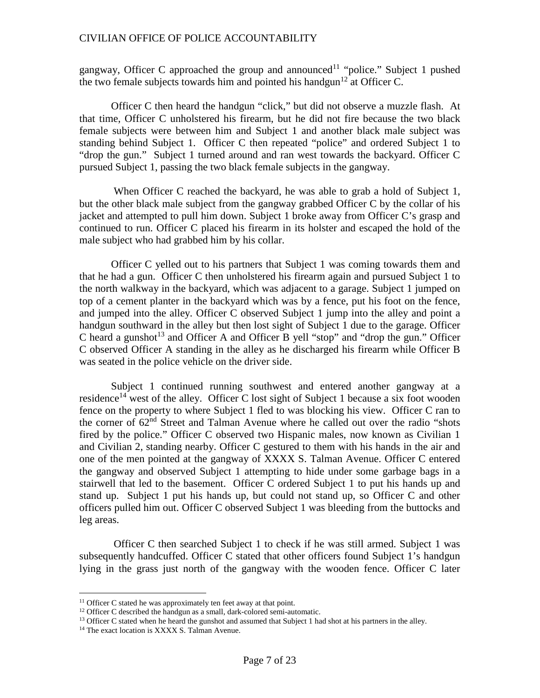gangway, Officer C approached the group and announced<sup>[11](#page-6-0)</sup> "police." Subject 1 pushed the two female subjects towards him and pointed his handgun<sup>[12](#page-6-1)</sup> at Officer C.

Officer C then heard the handgun "click," but did not observe a muzzle flash. At that time, Officer C unholstered his firearm, but he did not fire because the two black female subjects were between him and Subject 1 and another black male subject was standing behind Subject 1. Officer C then repeated "police" and ordered Subject 1 to "drop the gun." Subject 1 turned around and ran west towards the backyard. Officer C pursued Subject 1, passing the two black female subjects in the gangway.

When Officer C reached the backyard, he was able to grab a hold of Subject 1, but the other black male subject from the gangway grabbed Officer C by the collar of his jacket and attempted to pull him down. Subject 1 broke away from Officer C's grasp and continued to run. Officer C placed his firearm in its holster and escaped the hold of the male subject who had grabbed him by his collar.

Officer C yelled out to his partners that Subject 1 was coming towards them and that he had a gun. Officer C then unholstered his firearm again and pursued Subject 1 to the north walkway in the backyard, which was adjacent to a garage. Subject 1 jumped on top of a cement planter in the backyard which was by a fence, put his foot on the fence, and jumped into the alley. Officer C observed Subject 1 jump into the alley and point a handgun southward in the alley but then lost sight of Subject 1 due to the garage. Officer C heard a gunshot<sup>[13](#page-6-2)</sup> and Officer A and Officer B yell "stop" and "drop the gun." Officer C observed Officer A standing in the alley as he discharged his firearm while Officer B was seated in the police vehicle on the driver side.

Subject 1 continued running southwest and entered another gangway at a residence<sup>[14](#page-6-3)</sup> west of the alley. Officer C lost sight of Subject 1 because a six foot wooden fence on the property to where Subject 1 fled to was blocking his view. Officer C ran to the corner of  $62<sup>nd</sup>$  Street and Talman Avenue where he called out over the radio "shots fired by the police." Officer C observed two Hispanic males, now known as Civilian 1 and Civilian 2, standing nearby. Officer C gestured to them with his hands in the air and one of the men pointed at the gangway of XXXX S. Talman Avenue. Officer C entered the gangway and observed Subject 1 attempting to hide under some garbage bags in a stairwell that led to the basement. Officer C ordered Subject 1 to put his hands up and stand up. Subject 1 put his hands up, but could not stand up, so Officer C and other officers pulled him out. Officer C observed Subject 1 was bleeding from the buttocks and leg areas.

Officer C then searched Subject 1 to check if he was still armed. Subject 1 was subsequently handcuffed. Officer C stated that other officers found Subject 1's handgun lying in the grass just north of the gangway with the wooden fence. Officer C later

<span id="page-6-1"></span><span id="page-6-0"></span> $11$  Officer C stated he was approximately ten feet away at that point.

<span id="page-6-2"></span><sup>&</sup>lt;sup>12</sup> Officer C described the handgun as a small, dark-colored semi-automatic.

<span id="page-6-3"></span><sup>&</sup>lt;sup>13</sup> Officer C stated when he heard the gunshot and assumed that Subject 1 had shot at his partners in the alley.

<sup>&</sup>lt;sup>14</sup> The exact location is XXXX S. Talman Avenue.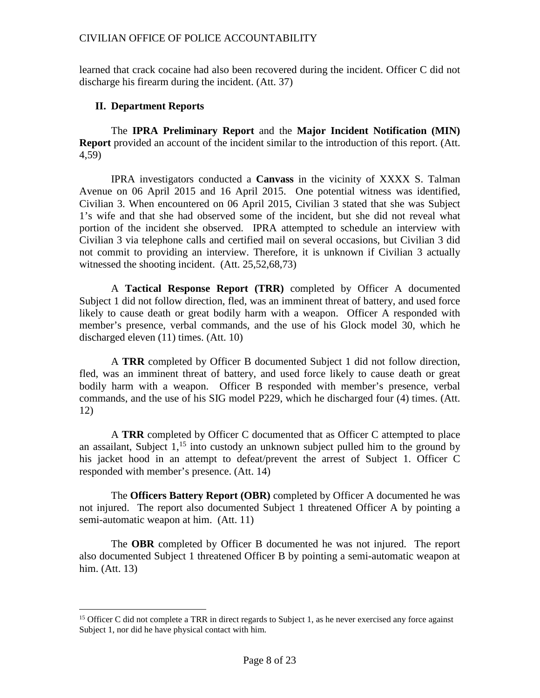learned that crack cocaine had also been recovered during the incident. Officer C did not discharge his firearm during the incident. (Att. 37)

## **II. Department Reports**

The **IPRA Preliminary Report** and the **Major Incident Notification (MIN) Report** provided an account of the incident similar to the introduction of this report. (Att. 4,59)

IPRA investigators conducted a **Canvass** in the vicinity of XXXX S. Talman Avenue on 06 April 2015 and 16 April 2015. One potential witness was identified, Civilian 3. When encountered on 06 April 2015, Civilian 3 stated that she was Subject 1's wife and that she had observed some of the incident, but she did not reveal what portion of the incident she observed. IPRA attempted to schedule an interview with Civilian 3 via telephone calls and certified mail on several occasions, but Civilian 3 did not commit to providing an interview. Therefore, it is unknown if Civilian 3 actually witnessed the shooting incident. (Att. 25,52,68,73)

A **Tactical Response Report (TRR)** completed by Officer A documented Subject 1 did not follow direction, fled, was an imminent threat of battery, and used force likely to cause death or great bodily harm with a weapon. Officer A responded with member's presence, verbal commands, and the use of his Glock model 30, which he discharged eleven (11) times. (Att. 10)

A **TRR** completed by Officer B documented Subject 1 did not follow direction, fled, was an imminent threat of battery, and used force likely to cause death or great bodily harm with a weapon. Officer B responded with member's presence, verbal commands, and the use of his SIG model P229, which he discharged four (4) times. (Att. 12)

A **TRR** completed by Officer C documented that as Officer C attempted to place anassailant[,](#page-7-0) Subject  $1<sup>15</sup>$  into custody an unknown subject pulled him to the ground by his jacket hood in an attempt to defeat/prevent the arrest of Subject 1. Officer C responded with member's presence. (Att. 14)

The **Officers Battery Report (OBR)** completed by Officer A documented he was not injured. The report also documented Subject 1 threatened Officer A by pointing a semi-automatic weapon at him. (Att. 11)

The **OBR** completed by Officer B documented he was not injured. The report also documented Subject 1 threatened Officer B by pointing a semi-automatic weapon at him. (Att. 13)

<span id="page-7-0"></span><sup>&</sup>lt;sup>15</sup> Officer C did not complete a TRR in direct regards to Subject 1, as he never exercised any force against Subject 1, nor did he have physical contact with him.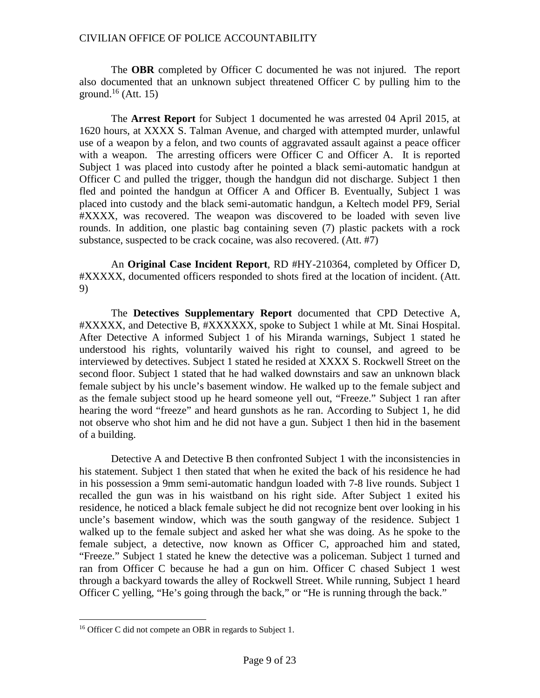The **OBR** completed by Officer C documented he was not injured. The report also documented that an unknown subject threatened Officer C by pulling him to the ground.<sup>[16](#page-8-0)</sup> (Att. 15)

The **Arrest Report** for Subject 1 documented he was arrested 04 April 2015, at 1620 hours, at XXXX S. Talman Avenue, and charged with attempted murder, unlawful use of a weapon by a felon, and two counts of aggravated assault against a peace officer with a weapon. The arresting officers were Officer C and Officer A. It is reported Subject 1 was placed into custody after he pointed a black semi-automatic handgun at Officer C and pulled the trigger, though the handgun did not discharge. Subject 1 then fled and pointed the handgun at Officer A and Officer B. Eventually, Subject 1 was placed into custody and the black semi-automatic handgun, a Keltech model PF9, Serial #XXXX, was recovered. The weapon was discovered to be loaded with seven live rounds. In addition, one plastic bag containing seven (7) plastic packets with a rock substance, suspected to be crack cocaine, was also recovered. (Att. #7)

An **Original Case Incident Report**, RD #HY-210364, completed by Officer D, #XXXXX, documented officers responded to shots fired at the location of incident. (Att. 9)

The **Detectives Supplementary Report** documented that CPD Detective A, #XXXXX, and Detective B, #XXXXXX, spoke to Subject 1 while at Mt. Sinai Hospital. After Detective A informed Subject 1 of his Miranda warnings, Subject 1 stated he understood his rights, voluntarily waived his right to counsel, and agreed to be interviewed by detectives. Subject 1 stated he resided at XXXX S. Rockwell Street on the second floor. Subject 1 stated that he had walked downstairs and saw an unknown black female subject by his uncle's basement window. He walked up to the female subject and as the female subject stood up he heard someone yell out, "Freeze." Subject 1 ran after hearing the word "freeze" and heard gunshots as he ran. According to Subject 1, he did not observe who shot him and he did not have a gun. Subject 1 then hid in the basement of a building.

Detective A and Detective B then confronted Subject 1 with the inconsistencies in his statement. Subject 1 then stated that when he exited the back of his residence he had in his possession a 9mm semi-automatic handgun loaded with 7-8 live rounds. Subject 1 recalled the gun was in his waistband on his right side. After Subject 1 exited his residence, he noticed a black female subject he did not recognize bent over looking in his uncle's basement window, which was the south gangway of the residence. Subject 1 walked up to the female subject and asked her what she was doing. As he spoke to the female subject, a detective, now known as Officer C, approached him and stated, "Freeze." Subject 1 stated he knew the detective was a policeman. Subject 1 turned and ran from Officer C because he had a gun on him. Officer C chased Subject 1 west through a backyard towards the alley of Rockwell Street. While running, Subject 1 heard Officer C yelling, "He's going through the back," or "He is running through the back."

<span id="page-8-0"></span><sup>&</sup>lt;sup>16</sup> Officer C did not compete an OBR in regards to Subject 1.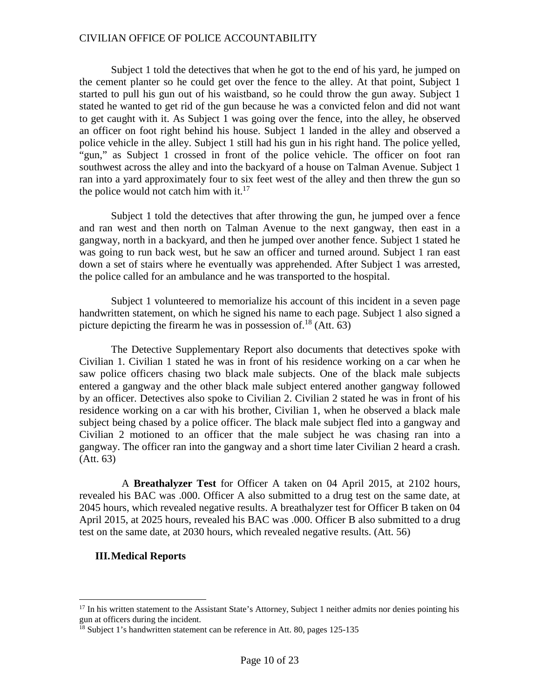Subject 1 told the detectives that when he got to the end of his yard, he jumped on the cement planter so he could get over the fence to the alley. At that point, Subject 1 started to pull his gun out of his waistband, so he could throw the gun away. Subject 1 stated he wanted to get rid of the gun because he was a convicted felon and did not want to get caught with it. As Subject 1 was going over the fence, into the alley, he observed an officer on foot right behind his house. Subject 1 landed in the alley and observed a police vehicle in the alley. Subject 1 still had his gun in his right hand. The police yelled, "gun," as Subject 1 crossed in front of the police vehicle. The officer on foot ran southwest across the alley and into the backyard of a house on Talman Avenue. Subject 1 ran into a yard approximately four to six feet west of the alley and then threw the gun so thepolice would not catch him with it[.](#page-9-0) $17$ 

Subject 1 told the detectives that after throwing the gun, he jumped over a fence and ran west and then north on Talman Avenue to the next gangway, then east in a gangway, north in a backyard, and then he jumped over another fence. Subject 1 stated he was going to run back west, but he saw an officer and turned around. Subject 1 ran east down a set of stairs where he eventually was apprehended. After Subject 1 was arrested, the police called for an ambulance and he was transported to the hospital.

Subject 1 volunteered to memorialize his account of this incident in a seven page handwritten statement, on which he signed his name to each page. Subject 1 also signed a picturedepicting the firearm he was in possession of.<sup>18</sup> (Att. 63)

The Detective Supplementary Report also documents that detectives spoke with Civilian 1. Civilian 1 stated he was in front of his residence working on a car when he saw police officers chasing two black male subjects. One of the black male subjects entered a gangway and the other black male subject entered another gangway followed by an officer. Detectives also spoke to Civilian 2. Civilian 2 stated he was in front of his residence working on a car with his brother, Civilian 1, when he observed a black male subject being chased by a police officer. The black male subject fled into a gangway and Civilian 2 motioned to an officer that the male subject he was chasing ran into a gangway. The officer ran into the gangway and a short time later Civilian 2 heard a crash. (Att. 63)

A **Breathalyzer Test** for Officer A taken on 04 April 2015, at 2102 hours, revealed his BAC was .000. Officer A also submitted to a drug test on the same date, at 2045 hours, which revealed negative results. A breathalyzer test for Officer B taken on 04 April 2015, at 2025 hours, revealed his BAC was .000. Officer B also submitted to a drug test on the same date, at 2030 hours, which revealed negative results. (Att. 56)

#### **III.Medical Reports**

<span id="page-9-0"></span><sup>&</sup>lt;sup>17</sup> In his written statement to the Assistant State's Attorney, Subject 1 neither admits nor denies pointing his gun at officers during the incident.

<span id="page-9-1"></span><sup>&</sup>lt;sup>18</sup> Subject 1's handwritten statement can be reference in Att. 80, pages 125-135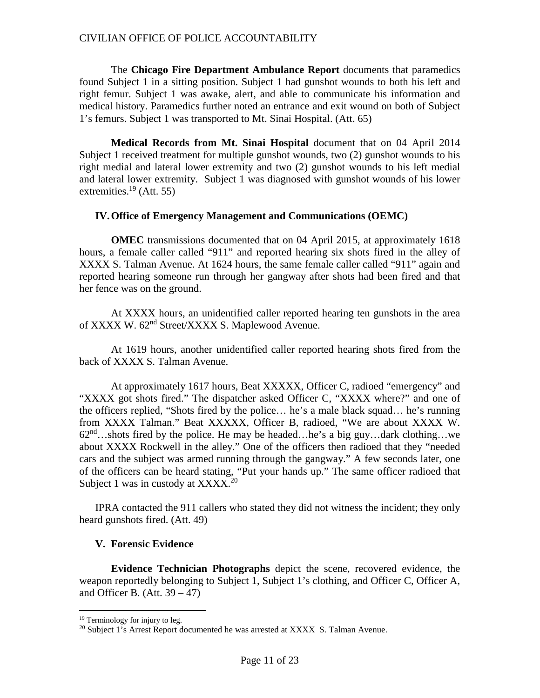The **Chicago Fire Department Ambulance Report** documents that paramedics found Subject 1 in a sitting position. Subject 1 had gunshot wounds to both his left and right femur. Subject 1 was awake, alert, and able to communicate his information and medical history. Paramedics further noted an entrance and exit wound on both of Subject 1's femurs. Subject 1 was transported to Mt. Sinai Hospital. (Att. 65)

**Medical Records from Mt. Sinai Hospital** document that on 04 April 2014 Subject 1 received treatment for multiple gunshot wounds, two (2) gunshot wounds to his right medial and lateral lower extremity and two (2) gunshot wounds to his left medial and lateral lower extremity. Subject 1 was diagnosed with gunshot wounds of his lower extremities.<sup>[19](#page-10-0)</sup> (Att. 55)

#### **IV.Office of Emergency Management and Communications (OEMC)**

**OMEC** transmissions documented that on 04 April 2015, at approximately 1618 hours, a female caller called "911" and reported hearing six shots fired in the alley of XXXX S. Talman Avenue. At 1624 hours, the same female caller called "911" again and reported hearing someone run through her gangway after shots had been fired and that her fence was on the ground.

At XXXX hours, an unidentified caller reported hearing ten gunshots in the area of XXXX W. 62<sup>nd</sup> Street/XXXX S. Maplewood Avenue.

At 1619 hours, another unidentified caller reported hearing shots fired from the back of XXXX S. Talman Avenue.

At approximately 1617 hours, Beat XXXXX, Officer C, radioed "emergency" and "XXXX got shots fired." The dispatcher asked Officer C, "XXXX where?" and one of the officers replied, "Shots fired by the police… he's a male black squad… he's running from XXXX Talman." Beat XXXXX, Officer B, radioed, "We are about XXXX W.  $62<sup>nd</sup>$ …shots fired by the police. He may be headed…he's a big guy…dark clothing…we about XXXX Rockwell in the alley." One of the officers then radioed that they "needed cars and the subject was armed running through the gangway." A few seconds later, one of the officers can be heard stating, "Put your hands up." The same officer radioed that Subject 1 was in custody at  $XXXX$ <sup>[20](#page-10-1)</sup>

IPRA contacted the 911 callers who stated they did not witness the incident; they only heard gunshots fired. (Att. 49)

#### **V. Forensic Evidence**

**Evidence Technician Photographs** depict the scene, recovered evidence, the weapon reportedly belonging to Subject 1, Subject 1's clothing, and Officer C, Officer A, and Officer B. (Att.  $39 - 47$ )

<span id="page-10-1"></span><span id="page-10-0"></span><sup>&</sup>lt;sup>19</sup> Terminology for injury to leg.

 $20$  Subject 1's Arrest Report documented he was arrested at XXXX S. Talman Avenue.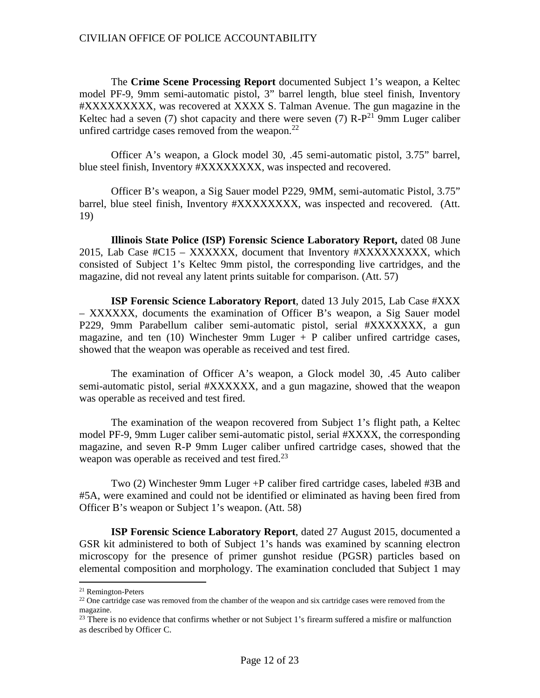The **Crime Scene Processing Report** documented Subject 1's weapon, a Keltec model PF-9, 9mm semi-automatic pistol, 3" barrel length, blue steel finish, Inventory #XXXXXXXXX, was recovered at XXXX S. Talman Avenue. The gun magazine in the Keltechad a seven (7) shot capacity and there were seven (7)  $R-P^{21}$  $R-P^{21}$  $R-P^{21}$  9mm Luger caliber unfired cartridge cases removed from the weapon. $^{22}$  $^{22}$  $^{22}$ 

Officer A's weapon, a Glock model 30, .45 semi-automatic pistol, 3.75" barrel, blue steel finish, Inventory #XXXXXXXX, was inspected and recovered.

Officer B's weapon, a Sig Sauer model P229, 9MM, semi-automatic Pistol, 3.75" barrel, blue steel finish, Inventory #XXXXXXXX, was inspected and recovered. (Att. 19)

**Illinois State Police (ISP) Forensic Science Laboratory Report,** dated 08 June 2015, Lab Case #C15 – XXXXXX, document that Inventory #XXXXXXXXX, which consisted of Subject 1's Keltec 9mm pistol, the corresponding live cartridges, and the magazine, did not reveal any latent prints suitable for comparison. (Att. 57)

**ISP Forensic Science Laboratory Report**, dated 13 July 2015, Lab Case #XXX – XXXXXX, documents the examination of Officer B's weapon, a Sig Sauer model P229, 9mm Parabellum caliber semi-automatic pistol, serial #XXXXXXX, a gun magazine, and ten  $(10)$  Winchester 9mm Luger + P caliber unfired cartridge cases, showed that the weapon was operable as received and test fired.

The examination of Officer A's weapon, a Glock model 30, .45 Auto caliber semi-automatic pistol, serial #XXXXXX, and a gun magazine, showed that the weapon was operable as received and test fired.

The examination of the weapon recovered from Subject 1's flight path, a Keltec model PF-9, 9mm Luger caliber semi-automatic pistol, serial #XXXX, the corresponding magazine, and seven R-P 9mm Luger caliber unfired cartridge cases, showed that the weapon was operable as received and test fired. $^{23}$  $^{23}$  $^{23}$ 

Two (2) Winchester 9mm Luger +P caliber fired cartridge cases, labeled #3B and #5A, were examined and could not be identified or eliminated as having been fired from Officer B's weapon or Subject 1's weapon. (Att. 58)

**ISP Forensic Science Laboratory Report**, dated 27 August 2015, documented a GSR kit administered to both of Subject 1's hands was examined by scanning electron microscopy for the presence of primer gunshot residue (PGSR) particles based on elemental composition and morphology. The examination concluded that Subject 1 may

<span id="page-11-1"></span><span id="page-11-0"></span><sup>21</sup> Remington-Peters

 $22$  One cartridge case was removed from the chamber of the weapon and six cartridge cases were removed from the magazine.

<span id="page-11-2"></span> $^{23}$  There is no evidence that confirms whether or not Subject 1's firearm suffered a misfire or malfunction as described by Officer C.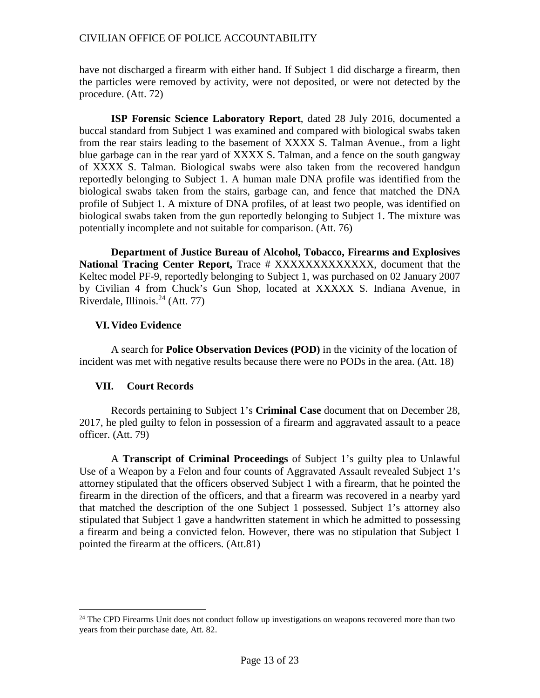have not discharged a firearm with either hand. If Subject 1 did discharge a firearm, then the particles were removed by activity, were not deposited, or were not detected by the procedure. (Att. 72)

**ISP Forensic Science Laboratory Report**, dated 28 July 2016, documented a buccal standard from Subject 1 was examined and compared with biological swabs taken from the rear stairs leading to the basement of XXXX S. Talman Avenue., from a light blue garbage can in the rear yard of XXXX S. Talman, and a fence on the south gangway of XXXX S. Talman. Biological swabs were also taken from the recovered handgun reportedly belonging to Subject 1. A human male DNA profile was identified from the biological swabs taken from the stairs, garbage can, and fence that matched the DNA profile of Subject 1. A mixture of DNA profiles, of at least two people, was identified on biological swabs taken from the gun reportedly belonging to Subject 1. The mixture was potentially incomplete and not suitable for comparison. (Att. 76)

**Department of Justice Bureau of Alcohol, Tobacco, Firearms and Explosives National Tracing Center Report,** Trace # XXXXXXXXXXXXX, document that the Keltec model PF-9, reportedly belonging to Subject 1, was purchased on 02 January 2007 by Civilian 4 from Chuck's Gun Shop, located at XXXXX S. Indiana Avenue, in Riverdale, Illinois. $^{24}$  $^{24}$  $^{24}$  (Att. 77)

# **VI.Video Evidence**

A search for **Police Observation Devices (POD)** in the vicinity of the location of incident was met with negative results because there were no PODs in the area. (Att. 18)

# **VII. Court Records**

Records pertaining to Subject 1's **Criminal Case** document that on December 28, 2017, he pled guilty to felon in possession of a firearm and aggravated assault to a peace officer. (Att. 79)

A **Transcript of Criminal Proceedings** of Subject 1's guilty plea to Unlawful Use of a Weapon by a Felon and four counts of Aggravated Assault revealed Subject 1's attorney stipulated that the officers observed Subject 1 with a firearm, that he pointed the firearm in the direction of the officers, and that a firearm was recovered in a nearby yard that matched the description of the one Subject 1 possessed. Subject 1's attorney also stipulated that Subject 1 gave a handwritten statement in which he admitted to possessing a firearm and being a convicted felon. However, there was no stipulation that Subject 1 pointed the firearm at the officers. (Att.81)

<span id="page-12-0"></span><sup>&</sup>lt;sup>24</sup> The CPD Firearms Unit does not conduct follow up investigations on weapons recovered more than two years from their purchase date, Att. 82.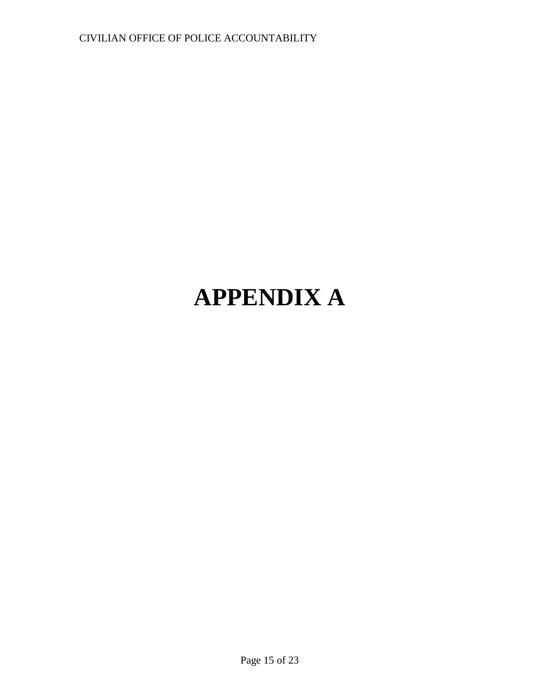# **APPENDIX A**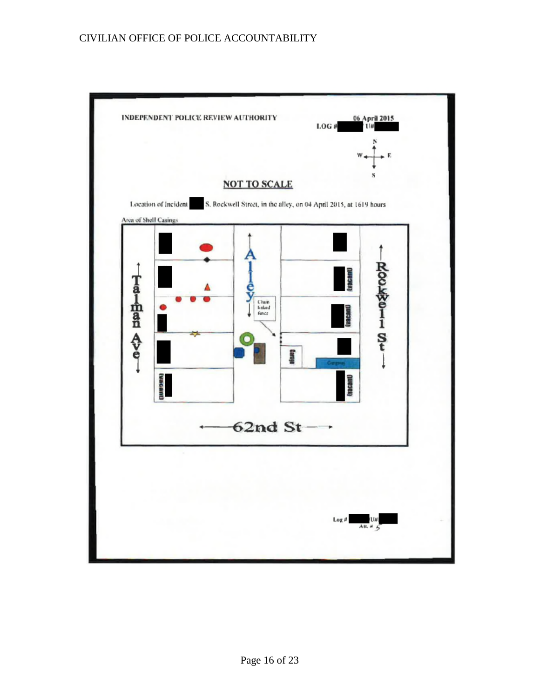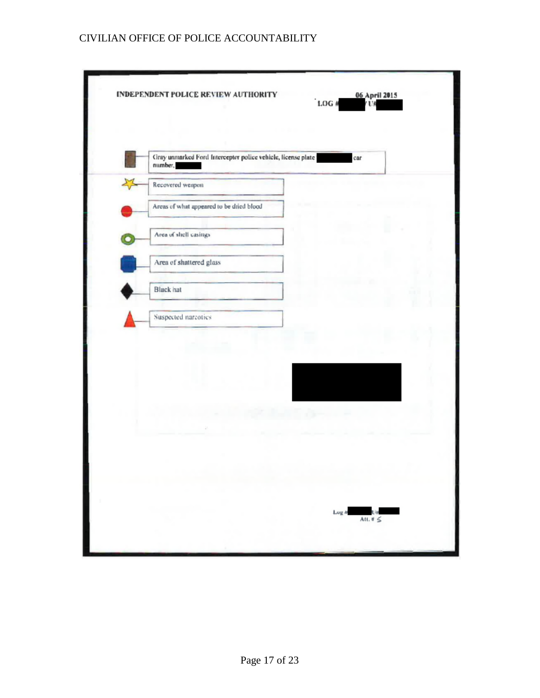| Gray unmarked Ford Interceptor police vehicle, license plate<br>car<br>number, |  |
|--------------------------------------------------------------------------------|--|
| Recovered weapon                                                               |  |
| Areas of what appeared to be dried blood                                       |  |
| Area of shell casings                                                          |  |
| Area of shattered glass                                                        |  |
| <b>Black</b> hat                                                               |  |
| Suspected narcotics                                                            |  |
|                                                                                |  |
|                                                                                |  |
| Lug #                                                                          |  |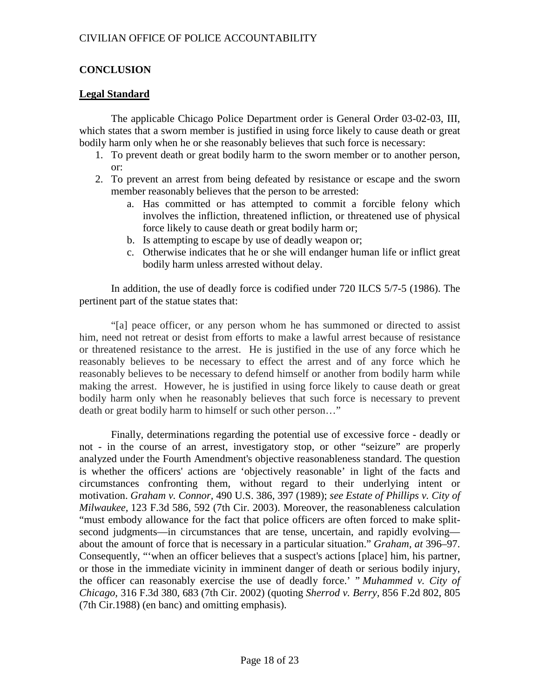# **CONCLUSION**

# **Legal Standard**

The applicable Chicago Police Department order is General Order 03-02-03, III, which states that a sworn member is justified in using force likely to cause death or great bodily harm only when he or she reasonably believes that such force is necessary:

- 1. To prevent death or great bodily harm to the sworn member or to another person, or:
- 2. To prevent an arrest from being defeated by resistance or escape and the sworn member reasonably believes that the person to be arrested:
	- a. Has committed or has attempted to commit a forcible felony which involves the infliction, threatened infliction, or threatened use of physical force likely to cause death or great bodily harm or;
	- b. Is attempting to escape by use of deadly weapon or;
	- c. Otherwise indicates that he or she will endanger human life or inflict great bodily harm unless arrested without delay.

In addition, the use of deadly force is codified under 720 ILCS 5/7-5 (1986). The pertinent part of the statue states that:

"[a] peace officer, or any person whom he has summoned or directed to assist him, need not retreat or desist from efforts to make a lawful arrest because of resistance or threatened resistance to the arrest. He is justified in the use of any force which he reasonably believes to be necessary to effect the arrest and of any force which he reasonably believes to be necessary to defend himself or another from bodily harm while making the arrest. However, he is justified in using force likely to cause death or great bodily harm only when he reasonably believes that such force is necessary to prevent death or great bodily harm to himself or such other person…"

Finally, determinations regarding the potential use of excessive force - deadly or not - in the course of an arrest, investigatory stop, or other "seizure" are properly analyzed under the Fourth Amendment's objective reasonableness standard. The question is whether the officers' actions are 'objectively reasonable' in light of the facts and circumstances confronting them, without regard to their underlying intent or motivation. *Graham v. Connor,* 490 U.S. 386, 397 (1989); *see Estate of Phillips v. City of Milwaukee,* 123 F.3d 586, 592 (7th Cir. 2003). Moreover, the reasonableness calculation "must embody allowance for the fact that police officers are often forced to make splitsecond judgments—in circumstances that are tense, uncertain, and rapidly evolving about the amount of force that is necessary in a particular situation." *Graham, at* 396–97. Consequently, "'when an officer believes that a suspect's actions [place] him, his partner, or those in the immediate vicinity in imminent danger of death or serious bodily injury, the officer can reasonably exercise the use of deadly force.' " *Muhammed v. City of Chicago,* 316 F.3d 380, 683 (7th Cir. 2002) (quoting *Sherrod v. Berry,* 856 F.2d 802, 805 (7th Cir.1988) (en banc) and omitting emphasis).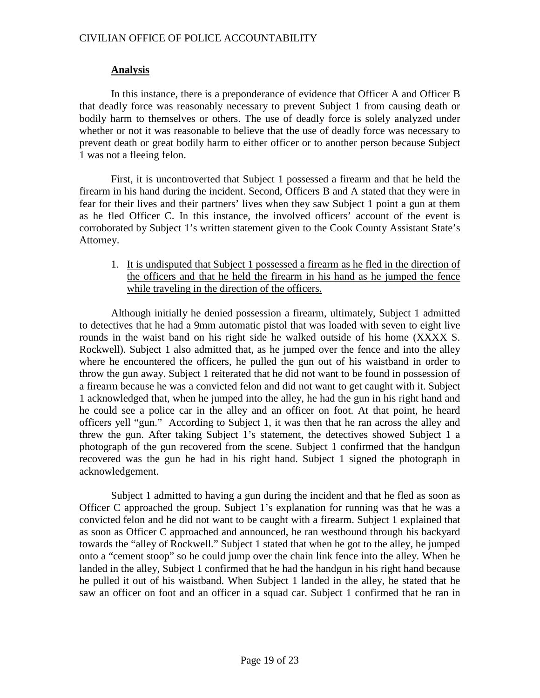# **Analysis**

In this instance, there is a preponderance of evidence that Officer A and Officer B that deadly force was reasonably necessary to prevent Subject 1 from causing death or bodily harm to themselves or others. The use of deadly force is solely analyzed under whether or not it was reasonable to believe that the use of deadly force was necessary to prevent death or great bodily harm to either officer or to another person because Subject 1 was not a fleeing felon.

First, it is uncontroverted that Subject 1 possessed a firearm and that he held the firearm in his hand during the incident. Second, Officers B and A stated that they were in fear for their lives and their partners' lives when they saw Subject 1 point a gun at them as he fled Officer C. In this instance, the involved officers' account of the event is corroborated by Subject 1's written statement given to the Cook County Assistant State's Attorney.

1. It is undisputed that Subject 1 possessed a firearm as he fled in the direction of the officers and that he held the firearm in his hand as he jumped the fence while traveling in the direction of the officers.

Although initially he denied possession a firearm, ultimately, Subject 1 admitted to detectives that he had a 9mm automatic pistol that was loaded with seven to eight live rounds in the waist band on his right side he walked outside of his home (XXXX S. Rockwell). Subject 1 also admitted that, as he jumped over the fence and into the alley where he encountered the officers, he pulled the gun out of his waistband in order to throw the gun away. Subject 1 reiterated that he did not want to be found in possession of a firearm because he was a convicted felon and did not want to get caught with it. Subject 1 acknowledged that, when he jumped into the alley, he had the gun in his right hand and he could see a police car in the alley and an officer on foot. At that point, he heard officers yell "gun." According to Subject 1, it was then that he ran across the alley and threw the gun. After taking Subject 1's statement, the detectives showed Subject 1 a photograph of the gun recovered from the scene. Subject 1 confirmed that the handgun recovered was the gun he had in his right hand. Subject 1 signed the photograph in acknowledgement.

Subject 1 admitted to having a gun during the incident and that he fled as soon as Officer C approached the group. Subject 1's explanation for running was that he was a convicted felon and he did not want to be caught with a firearm. Subject 1 explained that as soon as Officer C approached and announced, he ran westbound through his backyard towards the "alley of Rockwell." Subject 1 stated that when he got to the alley, he jumped onto a "cement stoop" so he could jump over the chain link fence into the alley. When he landed in the alley, Subject 1 confirmed that he had the handgun in his right hand because he pulled it out of his waistband. When Subject 1 landed in the alley, he stated that he saw an officer on foot and an officer in a squad car. Subject 1 confirmed that he ran in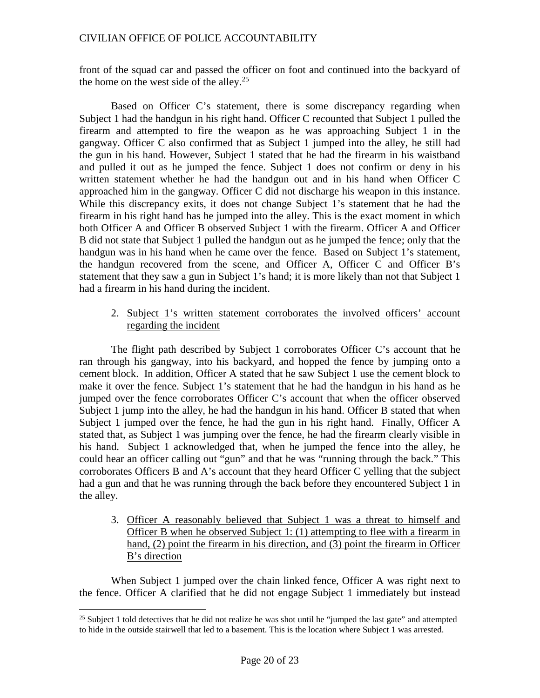front of the squad car and passed the officer on foot and continued into the backyard of the home on the west side of the alley.<sup>[25](#page-19-0)</sup>

Based on Officer C's statement, there is some discrepancy regarding when Subject 1 had the handgun in his right hand. Officer C recounted that Subject 1 pulled the firearm and attempted to fire the weapon as he was approaching Subject 1 in the gangway. Officer C also confirmed that as Subject 1 jumped into the alley, he still had the gun in his hand. However, Subject 1 stated that he had the firearm in his waistband and pulled it out as he jumped the fence. Subject 1 does not confirm or deny in his written statement whether he had the handgun out and in his hand when Officer C approached him in the gangway. Officer C did not discharge his weapon in this instance. While this discrepancy exits, it does not change Subject 1's statement that he had the firearm in his right hand has he jumped into the alley. This is the exact moment in which both Officer A and Officer B observed Subject 1 with the firearm. Officer A and Officer B did not state that Subject 1 pulled the handgun out as he jumped the fence; only that the handgun was in his hand when he came over the fence. Based on Subject 1's statement, the handgun recovered from the scene, and Officer A, Officer C and Officer B's statement that they saw a gun in Subject 1's hand; it is more likely than not that Subject 1 had a firearm in his hand during the incident.

## 2. Subject 1's written statement corroborates the involved officers' account regarding the incident

The flight path described by Subject 1 corroborates Officer C's account that he ran through his gangway, into his backyard, and hopped the fence by jumping onto a cement block. In addition, Officer A stated that he saw Subject 1 use the cement block to make it over the fence. Subject 1's statement that he had the handgun in his hand as he jumped over the fence corroborates Officer C's account that when the officer observed Subject 1 jump into the alley, he had the handgun in his hand. Officer B stated that when Subject 1 jumped over the fence, he had the gun in his right hand. Finally, Officer A stated that, as Subject 1 was jumping over the fence, he had the firearm clearly visible in his hand. Subject 1 acknowledged that, when he jumped the fence into the alley, he could hear an officer calling out "gun" and that he was "running through the back." This corroborates Officers B and A's account that they heard Officer C yelling that the subject had a gun and that he was running through the back before they encountered Subject 1 in the alley.

3. Officer A reasonably believed that Subject 1 was a threat to himself and Officer B when he observed Subject 1: (1) attempting to flee with a firearm in hand, (2) point the firearm in his direction, and (3) point the firearm in Officer B's direction

When Subject 1 jumped over the chain linked fence, Officer A was right next to the fence. Officer A clarified that he did not engage Subject 1 immediately but instead

<span id="page-19-0"></span> $25$  Subject 1 told detectives that he did not realize he was shot until he "jumped the last gate" and attempted to hide in the outside stairwell that led to a basement. This is the location where Subject 1 was arrested.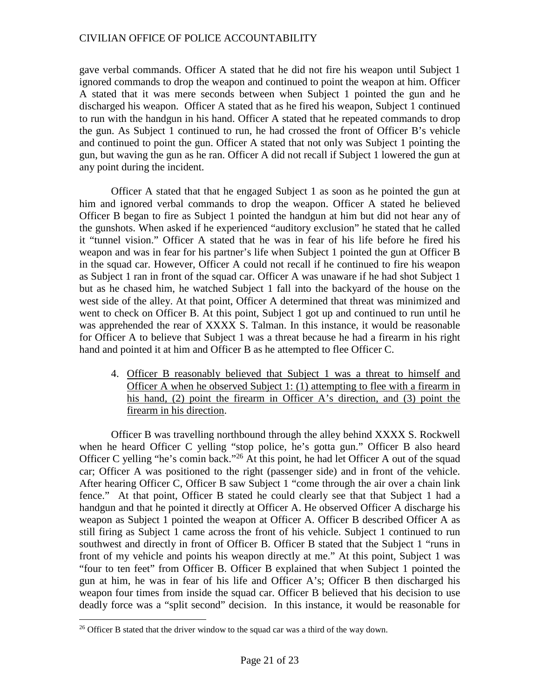gave verbal commands. Officer A stated that he did not fire his weapon until Subject 1 ignored commands to drop the weapon and continued to point the weapon at him. Officer A stated that it was mere seconds between when Subject 1 pointed the gun and he discharged his weapon. Officer A stated that as he fired his weapon, Subject 1 continued to run with the handgun in his hand. Officer A stated that he repeated commands to drop the gun. As Subject 1 continued to run, he had crossed the front of Officer B's vehicle and continued to point the gun. Officer A stated that not only was Subject 1 pointing the gun, but waving the gun as he ran. Officer A did not recall if Subject 1 lowered the gun at any point during the incident.

Officer A stated that that he engaged Subject 1 as soon as he pointed the gun at him and ignored verbal commands to drop the weapon. Officer A stated he believed Officer B began to fire as Subject 1 pointed the handgun at him but did not hear any of the gunshots. When asked if he experienced "auditory exclusion" he stated that he called it "tunnel vision." Officer A stated that he was in fear of his life before he fired his weapon and was in fear for his partner's life when Subject 1 pointed the gun at Officer B in the squad car. However, Officer A could not recall if he continued to fire his weapon as Subject 1 ran in front of the squad car. Officer A was unaware if he had shot Subject 1 but as he chased him, he watched Subject 1 fall into the backyard of the house on the west side of the alley. At that point, Officer A determined that threat was minimized and went to check on Officer B. At this point, Subject 1 got up and continued to run until he was apprehended the rear of XXXX S. Talman. In this instance, it would be reasonable for Officer A to believe that Subject 1 was a threat because he had a firearm in his right hand and pointed it at him and Officer B as he attempted to flee Officer C.

4. Officer B reasonably believed that Subject 1 was a threat to himself and Officer A when he observed Subject 1: (1) attempting to flee with a firearm in his hand, (2) point the firearm in Officer A's direction, and (3) point the firearm in his direction.

Officer B was travelling northbound through the alley behind XXXX S. Rockwell when he heard Officer C yelling "stop police, he's gotta gun." Officer B also heard Officer C yelling "he's comin back."<sup>[26](#page-20-0)</sup> At this point, he had let Officer A out of the squad car; Officer A was positioned to the right (passenger side) and in front of the vehicle. After hearing Officer C, Officer B saw Subject 1 "come through the air over a chain link fence." At that point, Officer B stated he could clearly see that that Subject 1 had a handgun and that he pointed it directly at Officer A. He observed Officer A discharge his weapon as Subject 1 pointed the weapon at Officer A. Officer B described Officer A as still firing as Subject 1 came across the front of his vehicle. Subject 1 continued to run southwest and directly in front of Officer B. Officer B stated that the Subject 1 "runs in front of my vehicle and points his weapon directly at me." At this point, Subject 1 was "four to ten feet" from Officer B. Officer B explained that when Subject 1 pointed the gun at him, he was in fear of his life and Officer A's; Officer B then discharged his weapon four times from inside the squad car. Officer B believed that his decision to use deadly force was a "split second" decision. In this instance, it would be reasonable for

<span id="page-20-0"></span><sup>&</sup>lt;sup>26</sup> Officer B stated that the driver window to the squad car was a third of the way down.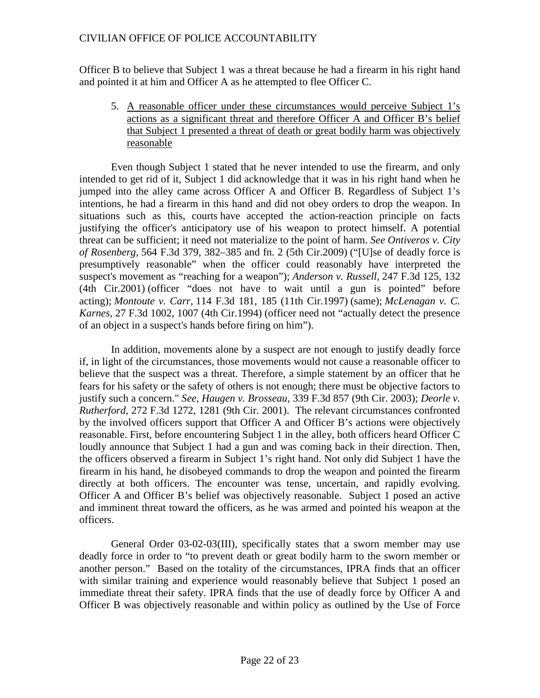Officer B to believe that Subject 1 was a threat because he had a firearm in his right hand and pointed it at him and Officer A as he attempted to flee Officer C.

5. A reasonable officer under these circumstances would perceive Subject 1's actions as a significant threat and therefore Officer A and Officer B's belief that Subject 1 presented a threat of death or great bodily harm was objectively reasonable

Even though Subject 1 stated that he never intended to use the firearm, and only intended to get rid of it, Subject 1 did acknowledge that it was in his right hand when he jumped into the alley came across Officer A and Officer B. Regardless of Subject 1's intentions, he had a firearm in this hand and did not obey orders to drop the weapon. In situations such as this, courts have accepted the action-reaction principle on facts justifying the officer's anticipatory use of his weapon to protect himself. A potential threat can be sufficient; it need not materialize to the point of harm. *See Ontiveros v. City of Rosenberg,* 564 F.3d 379, 382–385 and fn. 2 (5th Cir.2009) ("[U]se of deadly force is presumptively reasonable" when the officer could reasonably have interpreted the suspect's movement as "reaching for a weapon"); *Anderson v. Russell,* 247 F.3d 125, 132 (4th Cir.2001) (officer "does not have to wait until a gun is pointed" before acting); *Montoute v. Carr,* 114 F.3d 181, 185 (11th Cir.1997) (same); *McLenagan v. C. Karnes,* 27 F.3d 1002, 1007 (4th Cir.1994) (officer need not "actually detect the presence of an object in a suspect's hands before firing on him").

In addition, movements alone by a suspect are not enough to justify deadly force if, in light of the circumstances, those movements would not cause a reasonable officer to believe that the suspect was a threat. Therefore, a simple statement by an officer that he fears for his safety or the safety of others is not enough; there must be objective factors to justify such a concern." *See, Haugen v. Brosseau*, 339 F.3d 857 (9th Cir. 2003); *Deorle v. Rutherford*, 272 F.3d 1272, 1281 (9th Cir. 2001). The relevant circumstances confronted by the involved officers support that Officer A and Officer B's actions were objectively reasonable. First, before encountering Subject 1 in the alley, both officers heard Officer C loudly announce that Subject 1 had a gun and was coming back in their direction. Then, the officers observed a firearm in Subject 1's right hand. Not only did Subject 1 have the firearm in his hand, he disobeyed commands to drop the weapon and pointed the firearm directly at both officers. The encounter was tense, uncertain, and rapidly evolving. Officer A and Officer B's belief was objectively reasonable. Subject 1 posed an active and imminent threat toward the officers, as he was armed and pointed his weapon at the officers.

General Order 03-02-03(III), specifically states that a sworn member may use deadly force in order to "to prevent death or great bodily harm to the sworn member or another person." Based on the totality of the circumstances, IPRA finds that an officer with similar training and experience would reasonably believe that Subject 1 posed an immediate threat their safety. IPRA finds that the use of deadly force by Officer A and Officer B was objectively reasonable and within policy as outlined by the Use of Force